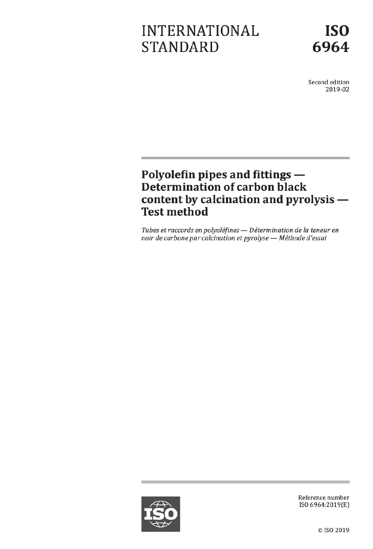# **INTERNATIONAL STANDARD**

Second edition 2019-02

# Polyolefin pipes and fittings -Determination of carbon black content by calcination and pyrolysis -**Test method**

Tubes et raccords en polyoléfines - Détermination de la teneur en noir de carbone par calcination et pyrolyse - Méthode d'essai



Reference number ISO 6964:2019(E)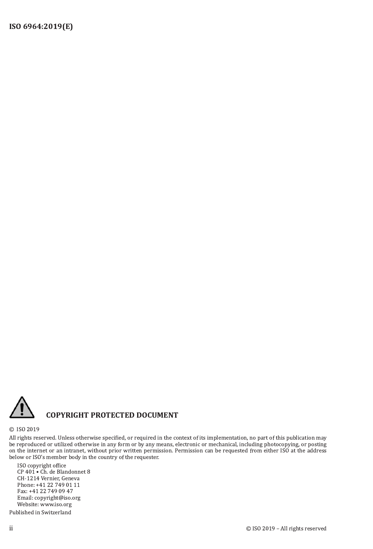

# COPYRIGHT PROTECTED DOCUMENT

### © ISO 2 019

All rights reserved. Unless otherwise specified, or required in the context of its implementation, no part of this publication may be reproduced or utilized otherwise in any form or by any means, electronic or mechanical, including photocopying, or posting on the internet or an intranet, without prior written permission. Permission can be requested from either ISO at the address below or ISO's member body in the country of the requester.

ISO copyright office <u>c</u> + c =  $\frac{1}{2}$  , and  $\frac{1}{2}$  =  $\frac{1}{2}$  . The second second  $\frac{1}{2}$ CH -1 214 Vernier, Geneva Phone: +41 22 749 01 11 Fax: +41 22 749 09 47 Email: copyright@iso.org Website: www.iso.org

Published in Switzerland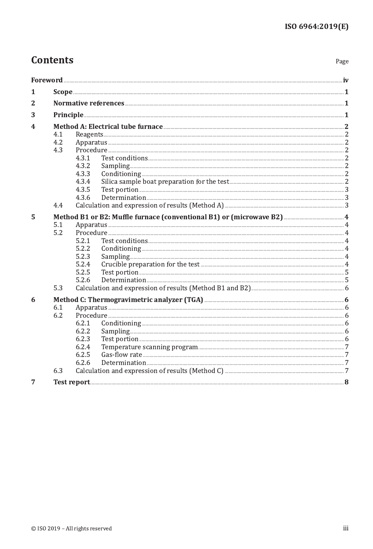# **Contents**

Page

| 1 |                                                               |                |  |
|---|---------------------------------------------------------------|----------------|--|
| 2 |                                                               |                |  |
| 3 |                                                               |                |  |
| 4 | Method A: Electrical tube furnace <b>Material Community</b> 2 |                |  |
|   | 4.1                                                           |                |  |
|   | 4.2<br>4.3                                                    |                |  |
|   |                                                               | 4.3.1          |  |
|   |                                                               | 4.3.2          |  |
|   |                                                               | 4.3.3          |  |
|   |                                                               | 4.3.4          |  |
|   |                                                               | 4.3.5          |  |
|   |                                                               | 4.3.6          |  |
|   | 4.4                                                           |                |  |
| 5 |                                                               |                |  |
|   | 5.1                                                           |                |  |
|   | 5.2                                                           |                |  |
|   |                                                               | 5.2.1          |  |
|   |                                                               | 5.2.2          |  |
|   |                                                               | 5.2.3          |  |
|   |                                                               | 5.2.4          |  |
|   |                                                               | 5.2.5<br>5.2.6 |  |
|   | 5.3                                                           |                |  |
|   |                                                               |                |  |
| 6 |                                                               |                |  |
|   | 6.1<br>6.2                                                    |                |  |
|   |                                                               | 6.2.1          |  |
|   |                                                               | 6.2.2          |  |
|   |                                                               | 6.2.3          |  |
|   |                                                               | 6.2.4          |  |
|   |                                                               | 6.2.5          |  |
|   |                                                               | 6.2.6          |  |
|   | 6.3                                                           |                |  |
| 7 |                                                               |                |  |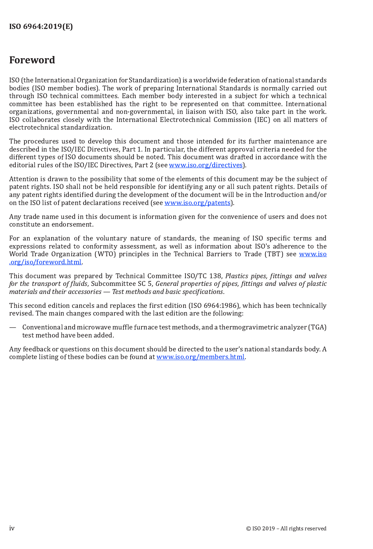#### **Foreword** Foreword

ISO (the International Organization for Standardization) is a worldwide federation of national standards bodies (ISO member bodies). The work of preparing International Standards is normally carried out through ISO technical committees. Each member body interested in a subject for which a technical committee has been established has the right to be represented on that committee. International organizations, governmental and non-governmental, in liaison with ISO, also take part in the work. ISO collaborates closely with the International Electrotechnical Commission (IEC) on all matters of electrotechnical standardization.

The procedures used to develop the intended the substance intended intended for its further manufacture inte described in the ISO/IEC Directives, Part 1. In particular, the different approval criteria needed for the different types of ISO documents should be noted. This document was drafted in accordance with the editorial rules of the ISO/IEC Directives, Part 2 (see www.iso.org/directives).

Attention is drawn to the possibility that some of the elements of this document may be the subject of patent rights. ISO shall not be held responsible for identifying any or all such patent rights. Details of any patent rights identified during the development of the document will be in the Introduction and/or on the ISO list of patent declarations received (see www.iso.org/patents).

Any trade name used in this document is information given for the convenience of users and does not constitute an endorsement.

For an explanation of the voluntary nature of standards, the meaning of ISO specific terms and expressions related to conformity assessment, as well as information about ISO's adherence to the World Trade Organization (WTO) principles in the Technical Barriers to Trade (TBT) see www.iso .org/iso/foreword.html

This document was prepared by Technical Committee ISO/TC 138, Plastics pipes, fittings and valves for the transport of fluids, Subcommittee SC 5, General properties of pipes, fittings and valves of plastic  $\overline{a}$  materials and their accessories  $-$  Test methods and basic specifications.

This second edition cancels and replaces the first edition (ISO 6964:1986), which has been technically revised. The main changes compared with the last edition are the following:

Conventional and microwave muffle furnace test methods, and a thermogravimetric analyzer (TGA) test method have been added. tes t method have been added .

Any feedback or questions on this document should be directed to the user's national standards body. A complete listing of these bodies can be found at www.iso.org/members.html.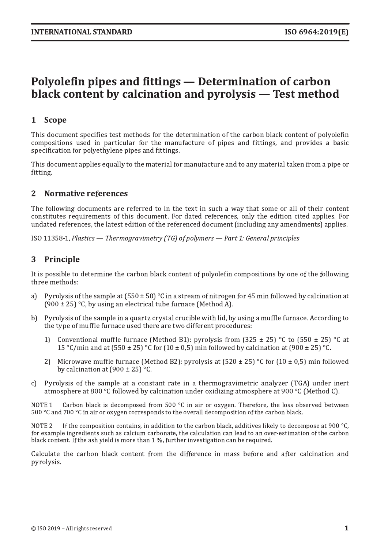# <span id="page-4-0"></span>Polyolefin pipes and fittings — Determination of carbon black content by calcination and pyrolysis — Test method

#### $\mathbf 1$ **Scope**

This document specifies test methods for the determination of the carbon black content of polyolefin compositions used in particular for the manufacture of pipes and fittings, and provides a basic specification for polyethylene pipes and fittings.

This document applies equally to the material for manufacture and to any material taken from a pipe or fitting.

#### $\overline{2}$ 2 Normative references

The following documents are referred to in the text in such a way that some or all of their content constitutes requirements of this document. For dated references, only the edition cited applies. For undated references, the latest edition of the referenced document (including any amendments) applies.

ISO 11358-1, Plastics — Thermogravimetry (TG) of polymers — Part 1: General principles

# 3 Principle

It is possible to determine the carbon black content of polyolefin compositions by one of the following three methods:

- a) Pyrolysis of the sample at  $(550 \pm 50)$  °C in a stream of nitrogen for 45 min followed by calcination at (900  $\pm$  25) °C, by using an electrical tube furnace (Method A).
- b) Pyrolysis of the sample in a quartz crystal crucible with lid, by using a muffle furnace. According to the type of muffle furnace used there are two different procedures:
	- 1) Conventional muffle furnace (Method B1): pyrolysis from (325  $\pm$  25) °C to (550  $\pm$  25) °C at 15 °C/min and at (550  $\pm$  25) °C for (10  $\pm$  0.5) min followed by calcination at (900  $\pm$  25) °C.
	- 2) Microwave muffle furnace (Method B2): pyrolysis at (520  $\pm$  25) °C for (10  $\pm$  0,5) min followed by calcination at (900  $\pm$  25) °C.
- c) Pyrolysis of the sample at a constant rate in a thermogravimetric analyzer (TGA) under inert atmosphere at 800 °C followed by calcination under oxidizing atmosphere at 900 °C (Method C).

Carbon black is decomposed from 500  $^{\circ}$ C in air or oxygen. Therefore, the loss observed between NOTE<sub>1</sub> 500  $\degree$ C and 700  $\degree$ C in air or oxygen corresponds to the overall decomposition of the carbon black.

NOTE 2 If the composition contains, in addition to the carbon black, additives likely to decompose at 900 °C, for example ingredients such as calcium carbonate, the calculation can lead to an over-estimation of the carbon black content. If the ash yield is more than  $1\%$ , further investigation can be required.

Calculate the carbon black content from the difference in mass before and after calcination and pyrolysis.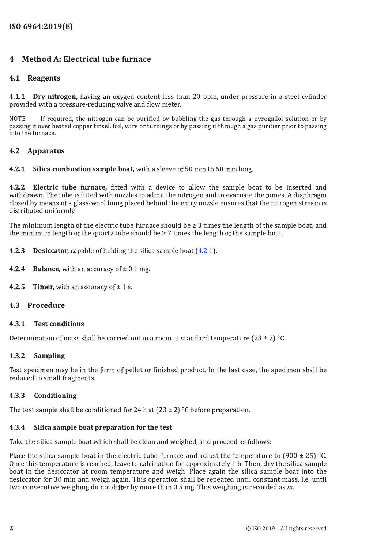#### <span id="page-5-0"></span>Method A: Electrical tube furnace  $\blacktriangle$

### 4.1 Reagents

4.1.1 Dry nitrogen, having an oxygen content less than 20 ppm, under pressure in a steel cylinder provided with a pressure-reducing valve and flow meter.

If required, the nitrogen can be purified by bubbling the gas through a pyrogallol solution or by **NOTE** passing it over heated copper tinsel, foil, wire or turnings or by passing it through a gas purifier prior to passing into the furnace.

## 4.2 Apparatus

 $4.2.1$ **Silica combustion sample boat,** with a sleeve of 50 mm to 60 mm long.

4.2.2 Electric tube furnace, fitted with a device to allow the sample boat to be inserted and withdrawn. The tube is fitted with nozzles to admit the nitrogen and to evacuate the fumes. A diaphragm closed by means of a glass-wool bung placed behind the entry nozzle ensures that the nitrogen stream is distributed uniformly.

The minimum length of the electric tube furnace should be  $\geq 3$  times the length of the sample boat, and the minimum length of the quartz tube should be  $\geq 7$  times the length of the sample boat.

4.2.3 Desiccator, capable of holding the silica sample boat  $(4.2.1)$ .

- $4.2.4$ **Balance,** with an accuracy of  $\pm$  0.1 mg.
- **4.2.5 Timer,** with an accuracy of  $\pm$  1 s.

#### Procedure 4.3 4.3 Procedure

#### $4.3.1$ **Test conditions** 4.3 .1 Test conditions

Determination of mass shall be carried out in a room at standard temperature (23  $\pm$  2) °C.

#### **Sampling**  $4.3.2$

Test specimen may be in the form of pellet or finished product. In the last case, the specimen shall be reduced to small fragments.

### 4.3 .3 Conditioning

The test sample shall be conditioned for 24 h at  $(23 \pm 2)$  °C before preparation.

#### $4.3.4$ Silica sample boat preparation for the test

Take the silica sample boat which shall be clean and weighed, and proceed as follows:

Place the silica sample boat in the electric tube furnace and adjust the temperature to (900  $\pm$  25) °C. Once this temperature is reached, leave to calcination for approximately 1 h. Then, dry the silica sample boat in the desiccator at room temperature and weigh. Place again the silica sample boat into the desiccator for 30 min and weigh again. This operation shall be repeated until constant mass, i.e. until two consecutive weighing do not differ by more than  $0.5$  mg. This weighing is recorded as m.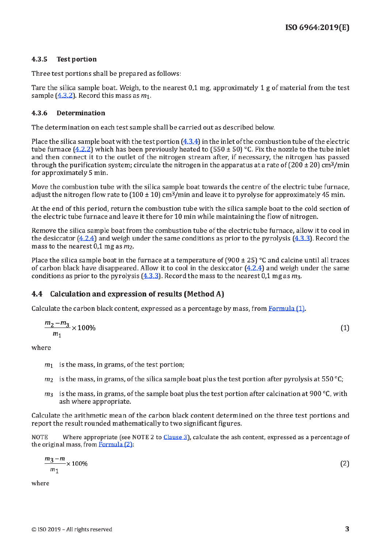#### $4.3.5$ **Test portion**

Three test portions shall be prepared as follows:

Tare the silica sample boat. Weigh, to the nearest  $0,1$  mg, approximately 1 g of material from the test sample  $(4.3.2)$ . Record this mass as  $m_1$ .

#### $4.3.6$ **Determination**

The determination on each test sample shall be carried out as described below.

Place the silica sample boat with the test portion  $(4.3.4)$  in the inlet of the combustion tube of the electric tube furnace  $(4.2.2)$  which has been previously heated to  $(550 \pm 50)$  °C. Fix the nozzle to the tube inlet and then connect it to the outlet of the nitrogen stream after, if necessary, the nitrogen has passed through the purification system; circulate the nitrogen in the apparatus at a rate of  $(200 \pm 20)$  cm<sup>3</sup>/min for approximately 5 min.

Move the combustion tube with the silica sample boat towards the centre of the electric tube furnace. adjust the nitrogen flow rate to  $(100 \pm 10)$  cm<sup>3</sup>/min and leave it to pyrolyse for approximately 45 min.

At the end of this period, return the combustion tube with the silica sample boat to the cold section of the electric tube furnace and leave it there for 10 min while maintaining the flow of nitrogen.

Remove the silica sample boat from the combustion tube of the electric tube furnace, allow it to cool in the desiccator  $(4.2.4)$  and weigh under the same conditions as prior to the pyrolysis  $(4.3.3)$ . Record the mass to the nearest  $0.1$  mg as  $m_2$ .

Place the silica sample boat in the furnace at a temperature of  $(900 \pm 25)$  °C and calcine until all traces of carbon black have disappeared. Allow it to cool in the desiccator  $(4.2.4)$  and weigh under the same conditions as prior to the pyrolysis  $(4.3.3)$ . Record the mass to the nearest 0.1 mg as  $m_3$ .

# 4.4 Calculation and expression of results (Method A)

Calculate the carbon black content, expressed as a percentage by mass, from Formula (1).

$$
\frac{m_2 - m_3}{m_1} \times 100\% \tag{1}
$$

where

- $m_1$  is the mass, in grams, of the test portion;
- $m<sub>2</sub>$  is the mass, in grams, of the silica sample boat plus the test portion after pyrolysis at 550 °C;
- $m_3$  is the mass, in grams, of the sample boat plus the test portion after calcination at 900 °C, with ash where appropriate.

Calculate the arithmetic mean of the carbon black content determined on the three test portions and report the result rounded mathematically to two significant figures.

**NOTE** Where appropriate (see NOTE 2 to  $Clause 3$ ), calculate the ash content, expressed as a percentage of the original mass, from Formula (2):

$$
\frac{m_3 - m}{m_1} \times 100\% \tag{2}
$$

where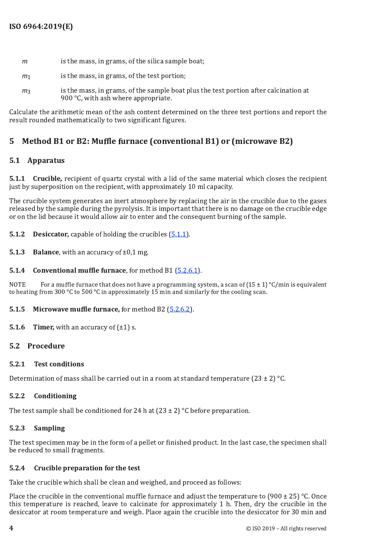- <span id="page-7-0"></span>is the mass, in grams, of the silica sample boat;  $\overline{m}$
- $m<sub>1</sub>$ is the mass, in grams, of the test portion;
- $m<sub>3</sub>$ is the mass, in grams, of the sample boat plus the test portion after calcination at 900 °C, with ash where appropriate.

Calculate the arithmetic mean of the ash content determined on the three test portions and report the result rounded mathematically to two significant figures.

#### 5 5 Method B1 or B2 : Muffle furnace (conventional B1 ) or (microwave B2 )

## 5 .1 Apparatus

 $5.1.1$ **Crucible,** recipient of quartz crystal with a lid of the same material which closes the recipient just by superposition on the recipient, with approximately 10 ml capacity.

The crucible system generates an inert atmosphere by replacing the air in the crucible due to the gases released by the sample during the pyrolysis. It is important that there is no damage on the crucible edge or on the lid because it would allow air to enter and the consequent burning of the sample.

**5.1.2** Desiccator, capable of holding the crucibles  $(5.1.1)$ .

**5.1.3** Balance, with an accuracy of  $\pm 0.1$  mg.

### **5.1.4** Conventional muffle furnace, for method B1 (5.2.6.1).

For a muffle furnace that does not have a programming system, a scan of  $(15 \pm 1)$  °C/min is equivalent **NOTE** to heating from 300 °C to 500 °C in approximately 15 min and similarly for the cooling scan.

**5.1.5** Microwave muffle furnace, for method B2  $(5.2.6.2)$ .

5.1.6 **Timer,** with an accuracy of  $(\pm 1)$  s.

### $5.2$

#### $5.2.1$ **Test conditions**

Determination of mass shall be carried out in a room at standard temperature (23  $\pm$  2) °C.

#### $5.2.2$ **Conditioning**

The test sample shall be conditioned for 24 h at  $(23 \pm 2)$  °C before preparation.

# 5.2.3 Sampling

The test specimen may be in the form of a pellet or finished product. In the last case, the specimen shall be reduced to small fragments.

# 5.2.4 Crucible preparation for the test

Take the crucible which shall be clean and weighed, and proceed as follows:

Place the crucible in the conventional muffle furnace and adjust the temperature to (900  $\pm$  25) °C. Once this temperature is reached, leave to calcinate for approximately 1 h. Then, dry the crucible in the desiccator at room temperature and weigh. Place again the crucible into the desiccator for 30 min and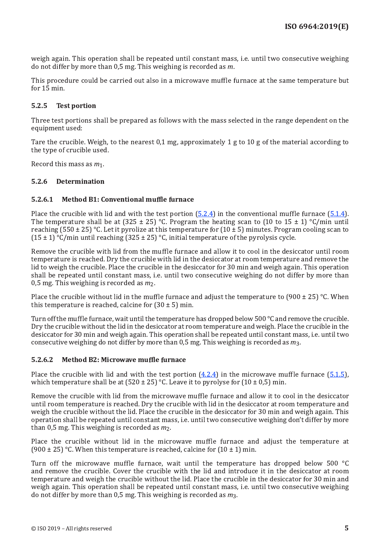<span id="page-8-0"></span>weigh again. This operation shall be repeated until constant mass, *i.e.* until two consecutive weighing do not differ by more than  $0,5$  mg. This weighing is recorded as  $m$ .

This procedure could be carried out also in a microwave muffle furnace at the same temperature but for  $15$  min.

#### $5.2.5$ Test portion

Three test portions shall be prepared as follows with the mass selected in the range dependent on the equipment used:

Tare the crucible. Weigh, to the nearest 0,1 mg, approximately 1 g to 10 g of the material according to the type of crucible used.

record the issue that is made that  $\mathbf{1}^n$ 

#### $5.2.6.1$ Method B1: Conventional muffle furnace

Place the crucible with lid and with the test portion  $(5.2.4)$  in the conventional muffle furnace  $(5.1.4)$ . The temperature shall be at (325  $\pm$  25) °C. Program the heating scan to (10 to 15  $\pm$  1) °C/min until reaching (550  $\pm$  25) °C. Let it pyrolize at this temperature for (10  $\pm$  5) minutes. Program cooling scan to  $(15 \pm 1)$  °C/min until reaching (325 ± 25) °C, initial temperature of the pyrolysis cycle.

Remove the crucible with lid from the muffle furnace and allow it to cool in the desiccator until room temperature is reached. Dry the crucible with lid in the desiccator at room temperature and remove the lid to weigh the crucible. Place the crucible in the desiccator for 30 min and weigh again. This operation shall be repeated until constant mass, i.e. until two consecutive weighing do not differ by more than 0 ,5 mg. Th is weigh ing is recorded as m<sup>2</sup> .

Place the crucible without lid in the muffle furnace and adjust the temperature to (900  $\pm$  25) °C. When this temperature is reached, calcine for  $(30 \pm 5)$  min.

Turn off the muffle furnace, wait until the temperature has dropped below  $500^{\circ}$ C and remove the crucible. Dry the crucible without the lid in the desiccator at room temperature and weigh. Place the crucible in the desiccator for 30 min and weigh again. This operation shall be repeated until constant mass, i.e. until two consecutive weighting the distributive by direct businessly displaced weighting is recorded as many

### 5.2.6.2 Method B2: Microwave muffle furnace

Place the crucible with lid and with the test portion  $(4.2.4)$  in the microwave muffle furnace  $(5.1.5)$ , which temperature shall be at  $(520 \pm 25)$  °C. Leave it to pyrolyse for  $(10 \pm 0.5)$  min.

Remove the crucible with lid from the microwave muffle furnace and allow it to cool in the desiccator until room temperature is reached. Dry the crucible with lid in the desiccator at room temperature and weigh the crucible without the lid. Place the crucible in the desiccator for 30 min and weigh again. This operation shall be repeated until constant mass, i.e. until two consecutive weighing don't differ by more than 0 ,5 mg. Th is weigh ing is recorded as m<sup>2</sup> .

Place the crucible without lid in the microwave muffle furnace and adjust the temperature at (900  $\pm$  25) °C. When this temperature is reached, calcine for (10  $\pm$  1) min.

Turn off the microwave muffle furnace, wait until the temperature has dropped below 500  $\degree$ C and remove the crucible. Cover the crucible with the lid and introduce it in the desiccator at room temperature and weigh the crucible without the lid. Place the crucible in the desiccator for 30 min and weigh again. This operation shall be repeated until constant mass, i.e. until two consecutive weighing do not differ by more than 9,5 mg. This weighting is recorded as m3 .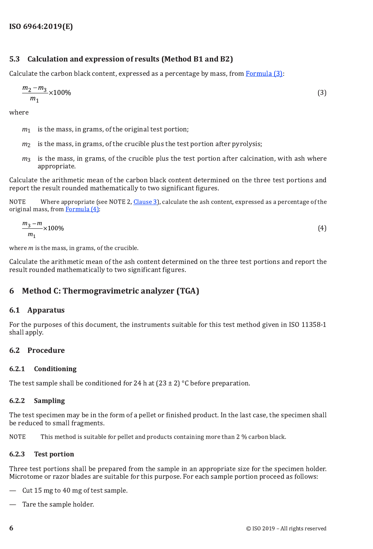## <span id="page-9-0"></span>5 .3 Calculation and expression of results (Method B1 and B2 )

Calculate the carbon black content, expressed as a percentage by mass, from Formula (3):

$$
\frac{m_2 - m_3}{m_1} \times 100\% \tag{3}
$$

- $m<sub>1</sub>$ is the mass, in grams, of the original test portion;
- . Is the mass  $\alpha$  is grams , of the cruc is the cruc in let  $\alpha$  is the test the test  $\alpha$  and  $\beta$
- $m<sub>3</sub>$ is the mass, in grams, of the crucible plus the test portion after calcination, with ash where appropriate.

Calculate the arithmetic mean of the carbon black content determined on the three test portions and report the result rounded mathematically to two significant figures.

Where appropriate (see NOTE 2,  $C_{\text{lause}}(3)$ , calculate the ash content, expressed as a percentage of the **NOTE** original mass, from Formula  $(4)$ :

$$
\frac{m_3 - m}{m_1} \times 100\% \tag{4}
$$

where  $m$  is the mass, in grams, of the crucible.

Calculate the arithmetic mean of the ash content determined on the three test portions and report the result rounded mathematically to two significant figures.

#### Method C: Thermogravimetric analyzer (TGA) 6

### 6 .1 Apparatus

For the purposes of this document, the instruments suitable for this test method given in ISO 11358-1 shall apply.

### 6 .2 Procedure

#### $6.2.1$ **Conditioning**

The test sample shall be conditioned for 24 h at  $(23 \pm 2)$  °C before preparation.

### 6.2.2 Sampling

The test specimen may be in the form of a pellet or finished product. In the last case, the specimen shall be reduced to small fragments.

NOTE This method is suitable for pellet and products containing more than 2 % carbon black.

#### $6.2.3$ Test portion

Three test portions shall be prepared from the sample in an appropriate size for the specimen holder. Microtome or razor blades are suitable for this purpose. For each sample portion proceed as follows:

- $-$  Cut 15 mg to 40 mg of test sample.
- $-$  Tare the sample holder.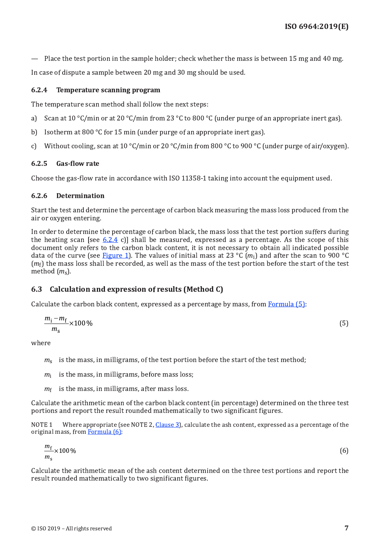<span id="page-10-0"></span>— Place the test portion in the sample holder; check whether the mass is between 15 mg and 40 mg. In case of dispute a sample between 20 mg and 30 mg should be used.

#### $6.2.4$ Temperature scanning program

The temperature scan method shall follow the next steps:

- a) Scan at 10 °C/min or at 20 °C/min from 23 °C to 800 °C (under purge of an appropriate inert gas).
- b) Isotherm at 800 °C for 15 min (under purge of an appropriate inert gas).
- c) Without cooling, scan at  $10 °C/min$  or  $20 °C/min$  from  $800 °C$  to  $900 °C$  (under purge of air/oxygen).

#### $6.2.5$ **Gas-flow rate**

Choose the gas-flow rate in accordance with ISO 11358-1 taking into account the equipment used.

#### $6.2.6$ **Determination** . . <u>.</u> . . . . . . . . . . . . . . .

Start the test and determine the percentage of carbon black measuring the mass loss produced from the air or oxygen entering.

In order to determine the percentage of carbon black, the mass loss that the test portion suffers during the heating scan [see  $6.2.4$  c]] shall be measured, expressed as a percentage. As the scope of this document only refers to the carbon black content, it is not necessary to obtain all indicated possible data of the curve (see <u>[Figure 1](#page-11-0))</u> . The curves of initial mass at 23 °C (m) and after the scan to 900 °C (m) (m) the mass loss shall be recorded , as we let the mass of the test the test the test the test of the test of the test of the test of the test of the test of the test of the test of the test of the test of the test of the method (ms) .

# 6 .3 Calculation and expression of results (Method C)

Calculate the carbon black content, expressed as a percentage by mass, from Formula  $(5)$ :

$$
\frac{m_i - m_f}{m_s} \times 100\,\%
$$
\n<sup>(5)</sup>

where  $\dots$  where  $\dots$ 

- ms is the mass  $\alpha$  is more denoted the test to the test the test the s the s the s the test method;
- $\cdots$  , as and induced in minimally minimal weak a minimal in the  $\cdots$
- mis the mass is more in the mass of the mass loss in the mass of the mass of the mass of the mass of the mass  $\overline{\phantom{a}}$

Calculate the arithmetic mean of the carbon black content (in percentage) determined on the three test portions and report the result rounded mathematically to two significant figures.

Whereappropriate (see NOTE 2, Clause 3), calculate the ash content, expressed as a percentage of the original mass, from Formula (6):

$$
\frac{m_{\rm f}}{m_{\rm s}} \times 100\,\%
$$
 (6)

Calculate the arithmetic mean of the ash content determined on the three test portions and report the result rounded mathematically to two significant figures.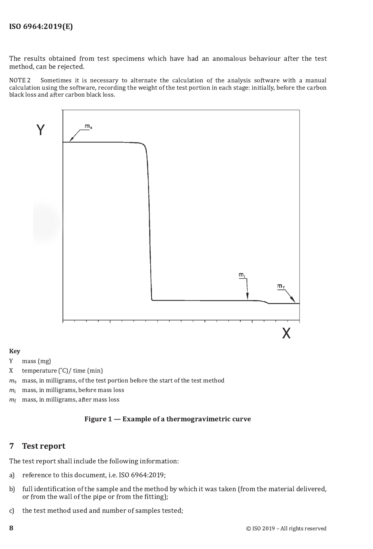<span id="page-11-0"></span>The results obtained from test specimens which have had an anomalous behaviour after the test method, can be rejected.

NOTE 2 Sometimes it is necessary to alternate the calculation of the analysis software with a manual calculation using the software, recording the weight of the test portion in each stage: initially, before the carbon black loss and after carbon black loss.



### Key

- <sup>Y</sup> mass (mg)
- X temperature  $({}^{\circ}C)/$  time (min)
- $m<sub>s</sub>$ mass, in milligrams, of the test portion before the start of the test method
- $m<sub>i</sub>$ mass, in milligrams, before mass loss
- $m_f$  mass, in milligrams, after mass loss

### Figure 1 — Example of a thermogravimetric curve

#### $\overline{7}$ **Test report**

The test report shall include the following information:

- a) reference to this document, i.e. ISO 6964:2019;
- b) full identification of the sample and the method by which it was taken (from the material delivered, or from the wall of the pipe or from the fitting);
- c) the test method used and number of samples tested;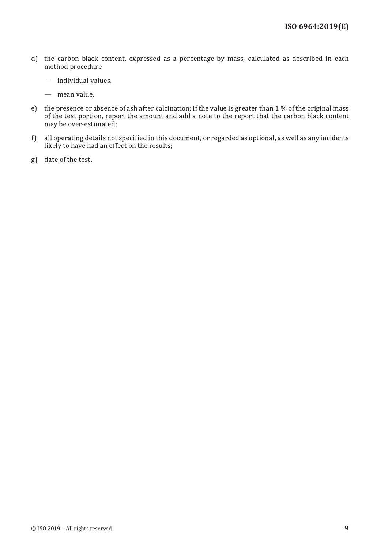- d) the carbon black content, expressed as a percentage by mass, calculated as described in each method procedure
	- $-$  individual values,
	- mean value,
- e) the presence or absence of ash after calcination; if the value is greater than 1 % of the original mass of the test portion, report the amount and add a note to the report that the carbon black content may be over-estimated;
- f) all operating details not specified in this document, or regarded as optional, as well as any incidents likely to have had an effect on the results;
- g) date of the test.